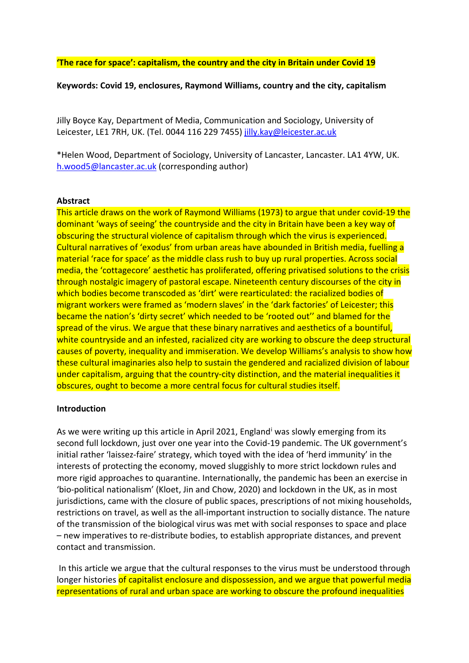**'The race for space': capitalism, the country and the city in Britain under Covid 19**

**Keywords: Covid 19, enclosures, Raymond Williams, country and the city, capitalism**

Jilly Boyce Kay, Department of Media, Communication and Sociology, University of Leicester, LE1 7RH, UK. (Tel. 0044 116 229 7455) [jilly.kay@leicester.ac.uk](mailto:jilly.kay@leicester.ac.uk)

\*Helen Wood, Department of Sociology, University of Lancaster, Lancaster. LA1 4YW, UK. [h.wood5@lancaster.ac.uk](mailto:h.wood5@lancaster.ac.uk) (corresponding author)

#### **Abstract**

This article draws on the work of Raymond Williams (1973) to argue that under covid-19 the dominant 'ways of seeing' the countryside and the city in Britain have been a key way of obscuring the structural violence of capitalism through which the virus is experienced. Cultural narratives of 'exodus' from urban areas have abounded in British media, fuelling a material 'race for space' as the middle class rush to buy up rural properties. Across social media, the 'cottagecore' aesthetic has proliferated, offering privatised solutions to the crisis through nostalgic imagery of pastoral escape. Nineteenth century discourses of the city in which bodies become transcoded as 'dirt' were rearticulated: the racialized bodies of migrant workers were framed as 'modern slaves' in the 'dark factories' of Leicester; this became the nation's 'dirty secret' which needed to be 'rooted out'' and blamed for the spread of the virus. We argue that these binary narratives and aesthetics of a bountiful, white countryside and an infested, racialized city are working to obscure the deep structural causes of poverty, inequality and immiseration. We develop Williams's analysis to show how these cultural imaginaries also help to sustain the gendered and racialized division of labour under capitalism, arguing that the country-city distinction, and the material inequalities it obscures, ought to become a more central focus for cultural studies itself.

#### **Introduction**

As we were wr[i](#page-14-0)ting up this article in April 2021, England<sup>i</sup> was slowly emerging from its second full lockdown, just over one year into the Covid-19 pandemic. The UK government's initial rather 'laissez-faire' strategy, which toyed with the idea of 'herd immunity' in the interests of protecting the economy, moved sluggishly to more strict lockdown rules and more rigid approaches to quarantine. Internationally, the pandemic has been an exercise in 'bio-political nationalism' (Kloet, Jin and Chow, 2020) and lockdown in the UK, as in most jurisdictions, came with the closure of public spaces, prescriptions of not mixing households, restrictions on travel, as well as the all-important instruction to socially distance. The nature of the transmission of the biological virus was met with social responses to space and place – new imperatives to re-distribute bodies, to establish appropriate distances, and prevent contact and transmission.

In this article we argue that the cultural responses to the virus must be understood through longer histories of capitalist enclosure and dispossession, and we argue that powerful media representations of rural and urban space are working to obscure the profound inequalities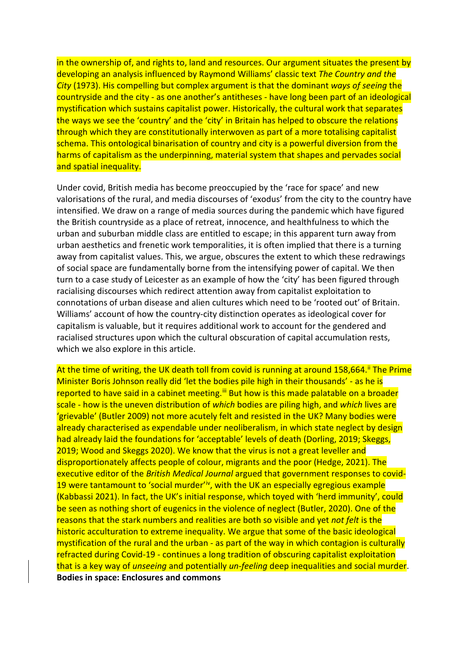in the ownership of, and rights to, land and resources. Our argument situates the present by developing an analysis influenced by Raymond Williams' classic text *The Country and the City* (1973). His compelling but complex argument is that the dominant *ways of seeing* the countryside and the city - as one another's antitheses - have long been part of an ideological mystification which sustains capitalist power. Historically, the cultural work that separates the ways we see the 'country' and the 'city' in Britain has helped to obscure the relations through which they are constitutionally interwoven as part of a more totalising capitalist schema. This ontological binarisation of country and city is a powerful diversion from the harms of capitalism as the underpinning, material system that shapes and pervades social and spatial inequality.

Under covid, British media has become preoccupied by the 'race for space' and new valorisations of the rural, and media discourses of 'exodus' from the city to the country have intensified. We draw on a range of media sources during the pandemic which have figured the British countryside as a place of retreat, innocence, and healthfulness to which the urban and suburban middle class are entitled to escape; in this apparent turn away from urban aesthetics and frenetic work temporalities, it is often implied that there is a turning away from capitalist values. This, we argue, obscures the extent to which these redrawings of social space are fundamentally borne from the intensifying power of capital. We then turn to a case study of Leicester as an example of how the 'city' has been figured through racialising discourses which redirect attention away from capitalist exploitation to connotations of urban disease and alien cultures which need to be 'rooted out' of Britain. Williams' account of how the country-city distinction operates as ideological cover for capitalism is valuable, but it requires additional work to account for the gendered and racialised structures upon which the cultural obscuration of capital accumulation rests, which we also explore in this article.

At the time of writing, the UK death toll from covid is running at around 158,664.<sup>[ii](#page-14-1)</sup> The Prime Minister Boris Johnson really did 'let the bodies pile high in their thousands' - as he is reported to have said in a cabinet meeting.<sup>[iii](#page-14-2)</sup> But how is this made palatable on a broader scale - how is the uneven distribution of *which* bodies are piling high, and *which* lives are 'grievable' (Butler 2009) not more acutely felt and resisted in the UK? Many bodies were already characterised as expendable under neoliberalism, in which state neglect by design had already laid the foundations for 'acceptable' levels of death (Dorling, 2019; Skeggs, 2019; Wood and Skeggs 2020). We know that the virus is not a great leveller and disproportionately affects people of colour, migrants and the poor (Hedge, 2021). The executive editor of the *British Medical Journal* argued that government responses to covid-19 were tantamount to 'social murder'<sup>iv</sup>, with the UK an especially egregious example (Kabbassi 2021). In fact, the UK's initial response, which toyed with 'herd immunity', could be seen as nothing short of eugenics in the violence of neglect (Butler, 2020). One of the reasons that the stark numbers and realities are both so visible and yet *not felt* is the historic acculturation to extreme inequality. We argue that some of the basic ideological mystification of the rural and the urban - as part of the way in which contagion is culturally refracted during Covid-19 - continues a long tradition of obscuring capitalist exploitation that is a key way of *unseeing* and potentially *un-feeling* deep inequalities and social murder. **Bodies in space: Enclosures and commons**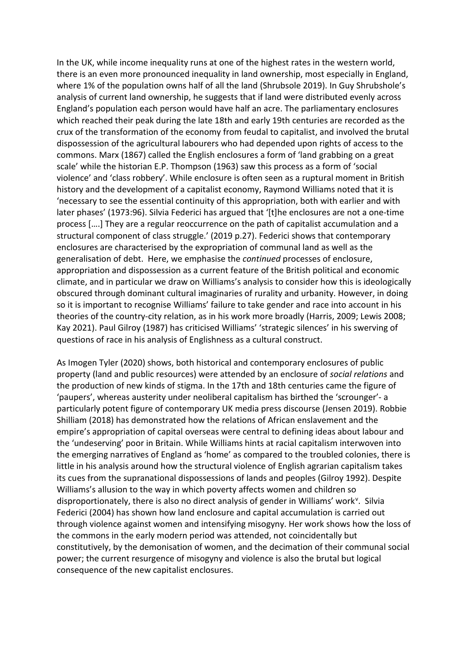In the UK, while income inequality runs at one of the highest rates in the western world, there is an even more pronounced inequality in land ownership, most especially in England, where 1% of the population owns half of all the land (Shrubsole 2019). In Guy Shrubshole's analysis of current land ownership, he suggests that if land were distributed evenly across England's population each person would have half an acre. The parliamentary enclosures which reached their peak during the late 18th and early 19th centuries are recorded as the crux of the transformation of the economy from feudal to capitalist, and involved the brutal dispossession of the agricultural labourers who had depended upon rights of access to the commons. Marx (1867) called the English enclosures a form of 'land grabbing on a great scale' while the historian E.P. Thompson (1963) saw this process as a form of 'social violence' and 'class robbery'. While enclosure is often seen as a ruptural moment in British history and the development of a capitalist economy, Raymond Williams noted that it is 'necessary to see the essential continuity of this appropriation, both with earlier and with later phases' (1973:96). Silvia Federici has argued that '[t]he enclosures are not a one-time process [….] They are a regular reoccurrence on the path of capitalist accumulation and a structural component of class struggle.' (2019 p.27). Federici shows that contemporary enclosures are characterised by the expropriation of communal land as well as the generalisation of debt. Here, we emphasise the *continued* processes of enclosure, appropriation and dispossession as a current feature of the British political and economic climate, and in particular we draw on Williams's analysis to consider how this is ideologically obscured through dominant cultural imaginaries of rurality and urbanity. However, in doing so it is important to recognise Williams' failure to take gender and race into account in his theories of the country-city relation, as in his work more broadly (Harris, 2009; Lewis 2008; Kay 2021). Paul Gilroy (1987) has criticised Williams' 'strategic silences' in his swerving of questions of race in his analysis of Englishness as a cultural construct.

As Imogen Tyler (2020) shows, both historical and contemporary enclosures of public property (land and public resources) were attended by an enclosure of *social relations* and the production of new kinds of stigma. In the 17th and 18th centuries came the figure of 'paupers', whereas austerity under neoliberal capitalism has birthed the 'scrounger'- a particularly potent figure of contemporary UK media press discourse (Jensen 2019). Robbie Shilliam (2018) has demonstrated how the relations of African enslavement and the empire's appropriation of capital overseas were central to defining ideas about labour and the 'undeserving' poor in Britain. While Williams hints at racial capitalism interwoven into the emerging narratives of England as 'home' as compared to the troubled colonies, there is little in his analysis around how the structural violence of English agrarian capitalism takes its cues from the supranational dispossessions of lands and peoples (Gilroy 1992). Despite Williams's allusion to the way in which poverty affects women and children so disproportionately, there is also no direct analysis of gender in Williams' work<sup>[v](#page-14-4)</sup>. Silvia Federici (2004) has shown how land enclosure and capital accumulation is carried out through violence against women and intensifying misogyny. Her work shows how the loss of the commons in the early modern period was attended, not coincidentally but constitutively, by the demonisation of women, and the decimation of their communal social power; the current resurgence of misogyny and violence is also the brutal but logical consequence of the new capitalist enclosures.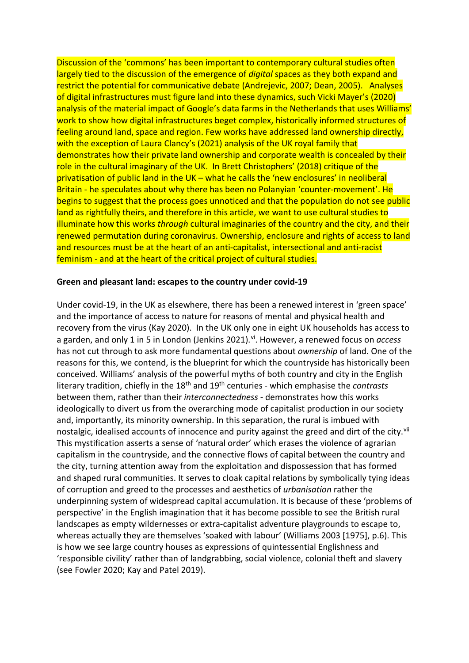Discussion of the 'commons' has been important to contemporary cultural studies often largely tied to the discussion of the emergence of *digital* spaces as they both expand and restrict the potential for communicative debate (Andrejevic, 2007; Dean, 2005). Analyses of digital infrastructures must figure land into these dynamics, such Vicki Mayer's (2020) analysis of the material impact of Google's data farms in the Netherlands that uses Williams' work to show how digital infrastructures beget complex, historically informed structures of feeling around land, space and region. Few works have addressed land ownership directly, with the exception of Laura Clancy's (2021) analysis of the UK royal family that demonstrates how their private land ownership and corporate wealth is concealed by their role in the cultural imaginary of the UK. In Brett Christophers' (2018) critique of the privatisation of public land in the UK – what he calls the 'new enclosures' in neoliberal Britain - he speculates about why there has been no Polanyian 'counter-movement'. He begins to suggest that the process goes unnoticed and that the population do not see public land as rightfully theirs, and therefore in this article, we want to use cultural studies to illuminate how this works *through* cultural imaginaries of the country and the city, and their renewed permutation during coronavirus. Ownership, enclosure and rights of access to land and resources must be at the heart of an anti-capitalist, intersectional and anti-racist feminism - and at the heart of the critical project of cultural studies.

## **Green and pleasant land: escapes to the country under covid-19**

Under covid-19, in the UK as elsewhere, there has been a renewed interest in 'green space' and the importance of access to nature for reasons of mental and physical health and recovery from the virus (Kay 2020). In the UK only one in eight UK households has access to a garden, and only 1 in 5 in London (Jenkins 2021). [vi](#page-14-5). However, a renewed focus on *access* has not cut through to ask more fundamental questions about *ownership* of land. One of the reasons for this, we contend, is the blueprint for which the countryside has historically been conceived. Williams' analysis of the powerful myths of both country and city in the English literary tradition, chiefly in the 18<sup>th</sup> and 19<sup>th</sup> centuries - which emphasise the *contrasts* between them, rather than their *interconnectedness* - demonstrates how this works ideologically to divert us from the overarching mode of capitalist production in our society and, importantly, its minority ownership. In this separation, the rural is imbued with nostalgic, idealised accounts of innocence and purity against the greed and dirt of the city.<sup>[vii](#page-14-6)</sup> This mystification asserts a sense of 'natural order' which erases the violence of agrarian capitalism in the countryside, and the connective flows of capital between the country and the city, turning attention away from the exploitation and dispossession that has formed and shaped rural communities. It serves to cloak capital relations by symbolically tying ideas of corruption and greed to the processes and aesthetics of *urbanisation* rather the underpinning system of widespread capital accumulation. It is because of these 'problems of perspective' in the English imagination that it has become possible to see the British rural landscapes as empty wildernesses or extra-capitalist adventure playgrounds to escape to, whereas actually they are themselves 'soaked with labour' (Williams 2003 [1975], p.6). This is how we see large country houses as expressions of quintessential Englishness and 'responsible civility' rather than of landgrabbing, social violence, colonial theft and slavery (see Fowler 2020; Kay and Patel 2019).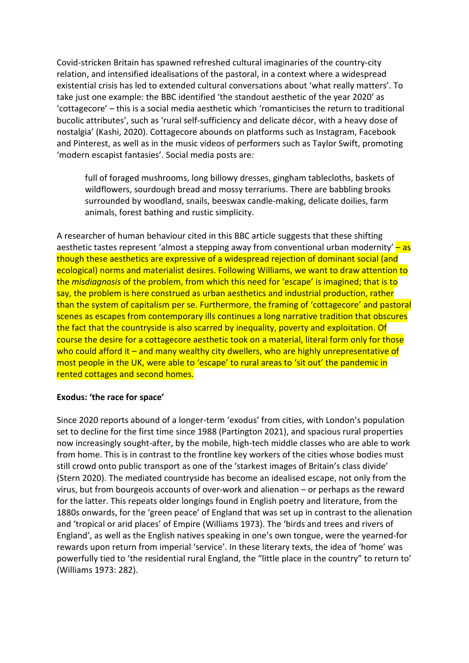Covid-stricken Britain has spawned refreshed cultural imaginaries of the country-city relation, and intensified idealisations of the pastoral, in a context where a widespread existential crisis has led to extended cultural conversations about 'what really matters'. To take just one example: the BBC identified 'the standout aesthetic of the year 2020' as 'cottagecore' – this is a social media aesthetic which 'romanticises the return to traditional bucolic attributes', such as 'rural self-sufficiency and delicate décor, with a heavy dose of nostalgia' (Kashi, 2020). Cottagecore abounds on platforms such as Instagram, Facebook and Pinterest, as well as in the music videos of performers such as Taylor Swift, promoting 'modern escapist fantasies'. Social media posts are:

full of foraged mushrooms, long billowy dresses, gingham tablecloths, baskets of wildflowers, sourdough bread and mossy terrariums. There are babbling brooks surrounded by woodland, snails, beeswax candle-making, delicate doilies, farm animals, forest bathing and rustic simplicity.

A researcher of human behaviour cited in this BBC article suggests that these shifting aesthetic tastes represent 'almost a stepping away from conventional urban modernity'  $-\text{as}$ though these aesthetics are expressive of a widespread rejection of dominant social (and ecological) norms and materialist desires. Following Williams, we want to draw attention to the *misdiagnosis* of the problem, from which this need for 'escape' is imagined; that is to say, the problem is here construed as urban aesthetics and industrial production, rather than the system of capitalism per se. Furthermore, the framing of 'cottagecore' and pastoral scenes as escapes from contemporary ills continues a long narrative tradition that obscures the fact that the countryside is also scarred by inequality, poverty and exploitation. Of course the desire for a cottagecore aesthetic took on a material, literal form only for those who could afford it – and many wealthy city dwellers, who are highly unrepresentative of most people in the UK, were able to 'escape' to rural areas to 'sit out' the pandemic in rented cottages and second homes.

#### **Exodus: 'the race for space'**

Since 2020 reports abound of a longer-term 'exodus' from cities, with London's population set to decline for the first time since 1988 (Partington 2021), and spacious rural properties now increasingly sought-after, by the mobile, high-tech middle classes who are able to work from home. This is in contrast to the frontline key workers of the cities whose bodies must still crowd onto public transport as one of the 'starkest images of Britain's class divide' (Stern 2020). The mediated countryside has become an idealised escape, not only from the virus, but from bourgeois accounts of over-work and alienation – or perhaps as the reward for the latter. This repeats older longings found in English poetry and literature, from the 1880s onwards, for the 'green peace' of England that was set up in contrast to the alienation and 'tropical or arid places' of Empire (Williams 1973). The 'birds and trees and rivers of England', as well as the English natives speaking in one's own tongue, were the yearned-for rewards upon return from imperial 'service'. In these literary texts, the idea of 'home' was powerfully tied to 'the residential rural England, the "little place in the country" to return to' (Williams 1973: 282).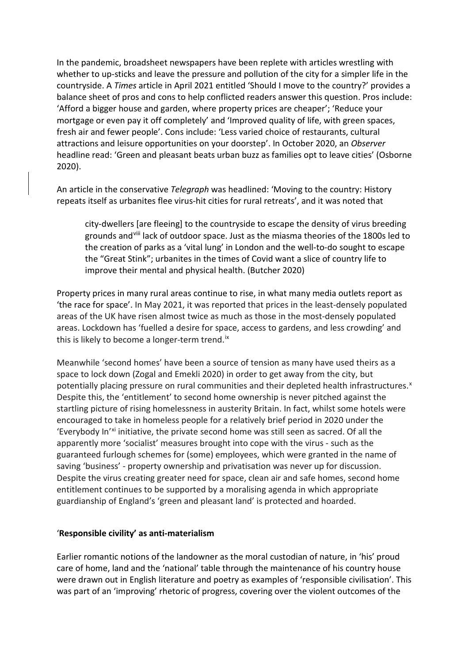In the pandemic, broadsheet newspapers have been replete with articles wrestling with whether to up-sticks and leave the pressure and pollution of the city for a simpler life in the countryside. A *Times* article in April 2021 entitled 'Should I move to the country?' provides a balance sheet of pros and cons to help conflicted readers answer this question. Pros include: 'Afford a bigger house and garden, where property prices are cheaper'; 'Reduce your mortgage or even pay it off completely' and 'Improved quality of life, with green spaces, fresh air and fewer people'. Cons include: 'Less varied choice of restaurants, cultural attractions and leisure opportunities on your doorstep'. In October 2020, an *Observer* headline read: 'Green and pleasant beats urban buzz as families opt to leave cities' (Osborne 2020).

An article in the conservative *Telegraph* was headlined: 'Moving to the country: History repeats itself as urbanites flee virus-hit cities for rural retreats', and it was noted that

city-dwellers [are fleeing] to the countryside to escape the density of virus breeding grounds and[viii](#page-14-7) lack of outdoor space. Just as the miasma theories of the 1800s led to the creation of parks as a 'vital lung' in London and the well-to-do sought to escape the "Great Stink"; urbanites in the times of Covid want a slice of country life to improve their mental and physical health. (Butcher 2020)

Property prices in many rural areas continue to rise, in what many media outlets report as 'the race for space'. In May 2021, it was reported that prices in the least-densely populated areas of the UK have risen almost twice as much as those in the most-densely populated areas. Lockdown has 'fuelled a desire for space, access to gardens, and less crowding' and this is likely to become a longer-term trend.<sup>ix</sup>

Meanwhile 'second homes' have been a source of tension as many have used theirs as a space to lock down (Zogal and Emekli 2020) in order to get away from the city, but potentially placing pressure on rural communities and their depleted health infrastructures.<sup>x</sup> Despite this, the 'entitlement' to second home ownership is never pitched against the startling picture of rising homelessness in austerity Britain. In fact, whilst some hotels were encouraged to take in homeless people for a relatively brief period in 2020 under the 'Everybody In'[xi](#page-15-2) initiative, the private second home was still seen as sacred. Of all the apparently more 'socialist' measures brought into cope with the virus - such as the guaranteed furlough schemes for (some) employees, which were granted in the name of saving 'business' - property ownership and privatisation was never up for discussion. Despite the virus creating greater need for space, clean air and safe homes, second home entitlement continues to be supported by a moralising agenda in which appropriate guardianship of England's 'green and pleasant land' is protected and hoarded.

## '**Responsible civility' as anti-materialism**

Earlier romantic notions of the landowner as the moral custodian of nature, in 'his' proud care of home, land and the 'national' table through the maintenance of his country house were drawn out in English literature and poetry as examples of 'responsible civilisation'. This was part of an 'improving' rhetoric of progress, covering over the violent outcomes of the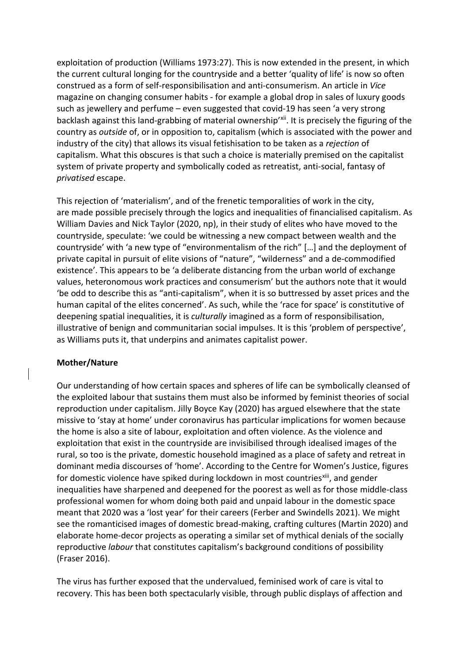exploitation of production (Williams 1973:27). This is now extended in the present, in which the current cultural longing for the countryside and a better 'quality of life' is now so often construed as a form of self-responsibilisation and anti-consumerism. An article in *Vice*  magazine on changing consumer habits - for example a global drop in sales of luxury goods such as jewellery and perfume – even suggested that covid-19 has seen 'a very strong backlash against this land-grabbing of material ownership'<sup>[xii](#page-15-3)</sup>. It is precisely the figuring of the country as *outside* of, or in opposition to, capitalism (which is associated with the power and industry of the city) that allows its visual fetishisation to be taken as a *rejection* of capitalism. What this obscures is that such a choice is materially premised on the capitalist system of private property and symbolically coded as retreatist, anti-social, fantasy of *privatised* escape.

This rejection of 'materialism', and of the frenetic temporalities of work in the city, are made possible precisely through the logics and inequalities of financialised capitalism. As William Davies and Nick Taylor (2020, np), in their study of elites who have moved to the countryside, speculate: 'we could be witnessing a new compact between wealth and the countryside' with 'a new type of "environmentalism of the rich" […] and the deployment of private capital in pursuit of elite visions of "nature", "wilderness" and a de-commodified existence'. This appears to be 'a deliberate distancing from the urban world of exchange values, heteronomous work practices and consumerism' but the authors note that it would 'be odd to describe this as "anti-capitalism", when it is so buttressed by asset prices and the human capital of the elites concerned'. As such, while the 'race for space' is constitutive of deepening spatial inequalities, it is *culturally* imagined as a form of responsibilisation, illustrative of benign and communitarian social impulses. It is this 'problem of perspective', as Williams puts it, that underpins and animates capitalist power.

## **Mother/Nature**

Our understanding of how certain spaces and spheres of life can be symbolically cleansed of the exploited labour that sustains them must also be informed by feminist theories of social reproduction under capitalism. Jilly Boyce Kay (2020) has argued elsewhere that the state missive to 'stay at home' under coronavirus has particular implications for women because the home is also a site of labour, exploitation and often violence. As the violence and exploitation that exist in the countryside are invisibilised through idealised images of the rural, so too is the private, domestic household imagined as a place of safety and retreat in dominant media discourses of 'home'. According to the Centre for Women's Justice, figures for domestic violence have spiked during lockdown in most countries<sup>[xiii](#page-15-4)</sup>, and gender inequalities have sharpened and deepened for the poorest as well as for those middle-class professional women for whom doing both paid and unpaid labour in the domestic space meant that 2020 was a 'lost year' for their careers (Ferber and Swindells 2021). We might see the romanticised images of domestic bread-making, crafting cultures (Martin 2020) and elaborate home-decor projects as operating a similar set of mythical denials of the socially reproductive *labour* that constitutes capitalism's background conditions of possibility (Fraser 2016).

The virus has further exposed that the undervalued, feminised work of care is vital to recovery. This has been both spectacularly visible, through public displays of affection and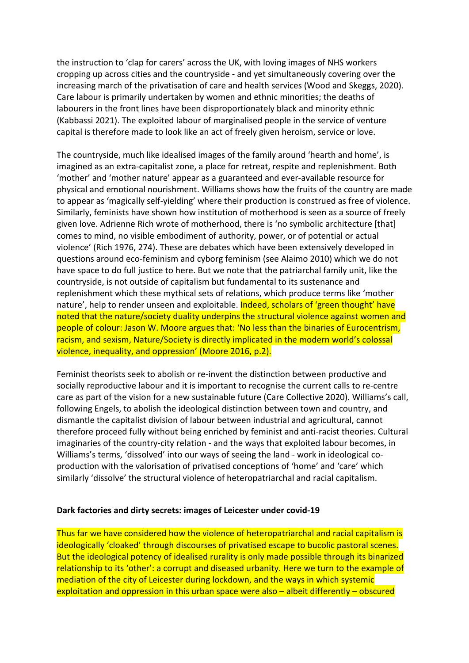the instruction to 'clap for carers' across the UK, with loving images of NHS workers cropping up across cities and the countryside - and yet simultaneously covering over the increasing march of the privatisation of care and health services (Wood and Skeggs, 2020). Care labour is primarily undertaken by women and ethnic minorities; the deaths of labourers in the front lines have been disproportionately black and minority ethnic (Kabbassi 2021). The exploited labour of marginalised people in the service of venture capital is therefore made to look like an act of freely given heroism, service or love.

The countryside, much like idealised images of the family around 'hearth and home', is imagined as an extra-capitalist zone, a place for retreat, respite and replenishment. Both 'mother' and 'mother nature' appear as a guaranteed and ever-available resource for physical and emotional nourishment. Williams shows how the fruits of the country are made to appear as 'magically self-yielding' where their production is construed as free of violence. Similarly, feminists have shown how institution of motherhood is seen as a source of freely given love. Adrienne Rich wrote of motherhood, there is 'no symbolic architecture [that] comes to mind, no visible embodiment of authority, power, or of potential or actual violence' (Rich 1976, 274). These are debates which have been extensively developed in questions around eco-feminism and cyborg feminism (see Alaimo 2010) which we do not have space to do full justice to here. But we note that the patriarchal family unit, like the countryside, is not outside of capitalism but fundamental to its sustenance and replenishment which these mythical sets of relations, which produce terms like 'mother nature', help to render unseen and exploitable. Indeed, scholars of 'green thought' have noted that the nature/society duality underpins the structural violence against women and people of colour: Jason W. Moore argues that: 'No less than the binaries of Eurocentrism, racism, and sexism, Nature/Society is directly implicated in the modern world's colossal violence, inequality, and oppression' (Moore 2016, p.2).

Feminist theorists seek to abolish or re-invent the distinction between productive and socially reproductive labour and it is important to recognise the current calls to re-centre care as part of the vision for a new sustainable future (Care Collective 2020). Williams's call, following Engels, to abolish the ideological distinction between town and country, and dismantle the capitalist division of labour between industrial and agricultural, cannot therefore proceed fully without being enriched by feminist and anti-racist theories. Cultural imaginaries of the country-city relation - and the ways that exploited labour becomes, in Williams's terms, 'dissolved' into our ways of seeing the land - work in ideological coproduction with the valorisation of privatised conceptions of 'home' and 'care' which similarly 'dissolve' the structural violence of heteropatriarchal and racial capitalism.

#### **Dark factories and dirty secrets: images of Leicester under covid-19**

Thus far we have considered how the violence of heteropatriarchal and racial capitalism is ideologically 'cloaked' through discourses of privatised escape to bucolic pastoral scenes. But the ideological potency of idealised rurality is only made possible through its binarized relationship to its 'other': a corrupt and diseased urbanity. Here we turn to the example of mediation of the city of Leicester during lockdown, and the ways in which systemic exploitation and oppression in this urban space were also – albeit differently – obscured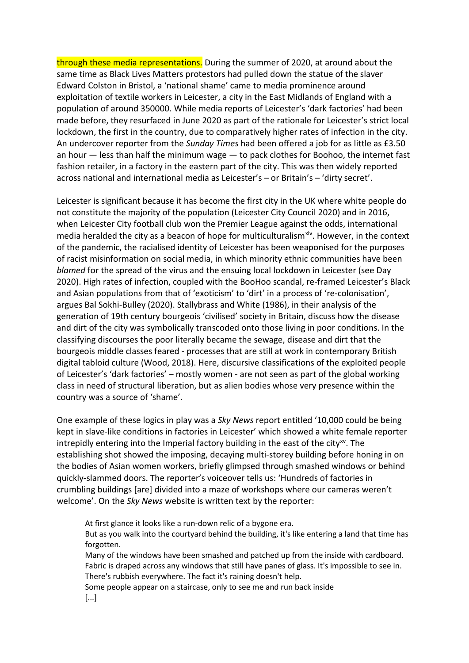through these media representations. During the summer of 2020, at around about the same time as Black Lives Matters protestors had pulled down the statue of the slaver Edward Colston in Bristol, a 'national shame' came to media prominence around exploitation of textile workers in Leicester, a city in the East Midlands of England with a population of around 350000. While media reports of Leicester's 'dark factories' had been made before, they resurfaced in June 2020 as part of the rationale for Leicester's strict local lockdown, the first in the country, due to comparatively higher rates of infection in the city. An undercover reporter from the *Sunday Times* had been offered a job for as little as £3.50 an hour — less than half the minimum wage — to pack clothes for Boohoo, the internet fast fashion retailer, in a factory in the eastern part of the city. This was then widely reported across national and international media as Leicester's – or Britain's – 'dirty secret'.

Leicester is significant because it has become the first city in the UK where white people do not constitute the majority of the population (Leicester City Council 2020) and in 2016, when Leicester City football club won the Premier League against the odds, international media heralded the city as a beacon of hope for multiculturalism<sup>xiv</sup>. However, in the context of the pandemic, the racialised identity of Leicester has been weaponised for the purposes of racist misinformation on social media, in which minority ethnic communities have been *blamed* for the spread of the virus and the ensuing local lockdown in Leicester (see Day 2020). High rates of infection, coupled with the BooHoo scandal, re-framed Leicester's Black and Asian populations from that of 'exoticism' to 'dirt' in a process of 're-colonisation', argues Bal Sokhi-Bulley (2020). Stallybrass and White (1986), in their analysis of the generation of 19th century bourgeois 'civilised' society in Britain, discuss how the disease and dirt of the city was symbolically transcoded onto those living in poor conditions. In the classifying discourses the poor literally became the sewage, disease and dirt that the bourgeois middle classes feared - processes that are still at work in contemporary British digital tabloid culture (Wood, 2018). Here, discursive classifications of the exploited people of Leicester's 'dark factories' – mostly women - are not seen as part of the global working class in need of structural liberation, but as alien bodies whose very presence within the country was a source of 'shame'.

One example of these logics in play was a *Sky News* report entitled '10,000 could be being kept in slave-like conditions in factories in Leicester' which showed a white female reporter intrepidly entering into the Imperial factory building in the east of the city $^{xy}$ . The establishing shot showed the imposing, decaying multi-storey building before honing in on the bodies of Asian women workers, briefly glimpsed through smashed windows or behind quickly-slammed doors. The reporter's voiceover tells us: 'Hundreds of factories in crumbling buildings [are] divided into a maze of workshops where our cameras weren't welcome'. On the *Sky News* website is written text by the reporter:

At first glance it looks like a run-down relic of a bygone era. But as you walk into the courtyard behind the building, it's like entering a land that time has forgotten. Many of the windows have been smashed and patched up from the inside with cardboard.

Fabric is draped across any windows that still have panes of glass. It's impossible to see in. There's rubbish everywhere. The fact it's raining doesn't help.

Some people appear on a staircase, only to see me and run back inside [...]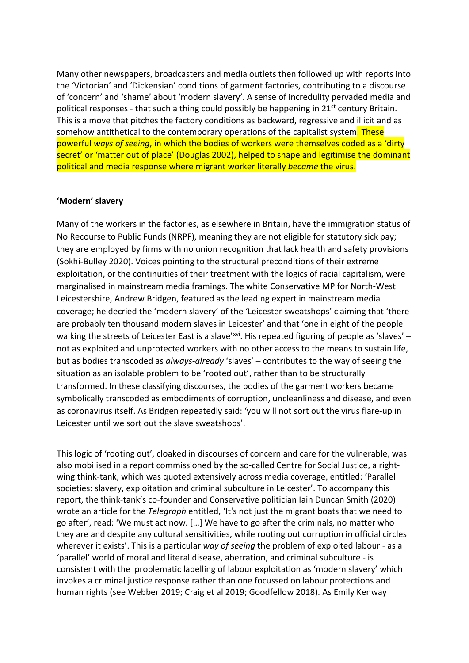Many other newspapers, broadcasters and media outlets then followed up with reports into the 'Victorian' and 'Dickensian' conditions of garment factories, contributing to a discourse of 'concern' and 'shame' about 'modern slavery'. A sense of incredulity pervaded media and political responses - that such a thing could possibly be happening in  $21<sup>st</sup>$  century Britain. This is a move that pitches the factory conditions as backward, regressive and illicit and as somehow antithetical to the contemporary operations of the capitalist system. These powerful *ways of seeing*, in which the bodies of workers were themselves coded as a 'dirty secret' or 'matter out of place' (Douglas 2002), helped to shape and legitimise the dominant political and media response where migrant worker literally *became* the virus.

### **'Modern' slavery**

Many of the workers in the factories, as elsewhere in Britain, have the immigration status of No Recourse to Public Funds (NRPF), meaning they are not eligible for statutory sick pay; they are employed by firms with no union recognition that lack health and safety provisions (Sokhi-Bulley 2020). Voices pointing to the structural preconditions of their extreme exploitation, or the continuities of their treatment with the logics of racial capitalism, were marginalised in mainstream media framings. The white Conservative MP for North-West Leicestershire, Andrew Bridgen, featured as the leading expert in mainstream media coverage; he decried the 'modern slavery' of the 'Leicester sweatshops' claiming that 'there are probably ten thousand modern slaves in Leicester' and that 'one in eight of the people walking the streets of Leicester East is a slave'[xvi.](#page-15-7) His repeated figuring of people as 'slaves' not as exploited and unprotected workers with no other access to the means to sustain life, but as bodies transcoded as *always-already* 'slaves' – contributes to the way of seeing the situation as an isolable problem to be 'rooted out', rather than to be structurally transformed. In these classifying discourses, the bodies of the garment workers became symbolically transcoded as embodiments of corruption, uncleanliness and disease, and even as coronavirus itself. As Bridgen repeatedly said: 'you will not sort out the virus flare-up in Leicester until we sort out the slave sweatshops'.

This logic of 'rooting out', cloaked in discourses of concern and care for the vulnerable, was also mobilised in a report commissioned by the so-called Centre for Social Justice, a rightwing think-tank, which was quoted extensively across media coverage, entitled: 'Parallel societies: slavery, exploitation and criminal subculture in Leicester'. To accompany this report, the think-tank's co-founder and Conservative politician Iain Duncan Smith (2020) wrote an article for the *Telegraph* entitled, 'It's not just the migrant boats that we need to go after', read: 'We must act now. […] We have to go after the criminals, no matter who they are and despite any cultural sensitivities, while rooting out corruption in official circles wherever it exists'. This is a particular *way of seeing* the problem of exploited labour - as a 'parallel' world of moral and literal disease, aberration, and criminal subculture - is consistent with the problematic labelling of labour exploitation as 'modern slavery' which invokes a criminal justice response rather than one focussed on labour protections and human rights (see Webber 2019; Craig et al 2019; Goodfellow 2018). As Emily Kenway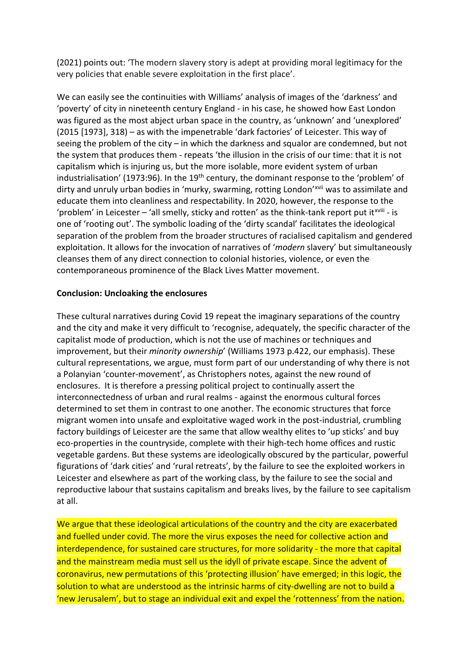(2021) points out: 'The modern slavery story is adept at providing moral legitimacy for the very policies that enable severe exploitation in the first place'.

We can easily see the continuities with Williams' analysis of images of the 'darkness' and 'poverty' of city in nineteenth century England - in his case, he showed how East London was figured as the most abject urban space in the country, as 'unknown' and 'unexplored' (2015 [1973], 318) – as with the impenetrable 'dark factories' of Leicester. This way of seeing the problem of the city – in which the darkness and squalor are condemned, but not the system that produces them - repeats 'the illusion in the crisis of our time: that it is not capitalism which is injuring us, but the more isolable, more evident system of urban industrialisation' (1973:96). In the 19<sup>th</sup> century, the dominant response to the 'problem' of dirty and unruly urban bodies in 'murky, swarming, rotting London'<sup>[xvii](#page-15-8)</sup> was to assimilate and 'problem' [i](#page-15-9)n Leicester - 'all smelly, sticky and rotten' as the think-tank report put it<sup>xviii</sup> - is educate them into cleanliness and respectability. In 2020, however, the response to the one of 'rooting out'. The symbolic loading of the 'dirty scandal' facilitates the ideological separation of the problem from the broader structures of racialised capitalism and gendered exploitation. It allows for the invocation of narratives of '*modern* slavery' but simultaneously cleanses them of any direct connection to colonial histories, violence, or even the contemporaneous prominence of the Black Lives Matter movement.

## **Conclusion: Uncloaking the enclosures**

These cultural narratives during Covid 19 repeat the imaginary separations of the country and the city and make it very difficult to 'recognise, adequately, the specific character of the capitalist mode of production, which is not the use of machines or techniques and improvement, but their *minority ownership*' (Williams 1973 p.422, our emphasis). These cultural representations, we argue, must form part of our understanding of why there is not a Polanyian 'counter-movement', as Christophers notes, against the new round of enclosures. It is therefore a pressing political project to continually assert the interconnectedness of urban and rural realms - against the enormous cultural forces determined to set them in contrast to one another. The economic structures that force migrant women into unsafe and exploitative waged work in the post-industrial, crumbling factory buildings of Leicester are the same that allow wealthy elites to 'up sticks' and buy eco-properties in the countryside, complete with their high-tech home offices and rustic vegetable gardens. But these systems are ideologically obscured by the particular, powerful figurations of 'dark cities' and 'rural retreats', by the failure to see the exploited workers in Leicester and elsewhere as part of the working class, by the failure to see the social and reproductive labour that sustains capitalism and breaks lives, by the failure to see capitalism at all.

We argue that these ideological articulations of the country and the city are exacerbated and fuelled under covid. The more the virus exposes the need for collective action and interdependence, for sustained care structures, for more solidarity - the more that capital and the mainstream media must sell us the idyll of private escape. Since the advent of coronavirus, new permutations of this 'protecting illusion' have emerged; in this logic, the solution to what are understood as the intrinsic harms of city-dwelling are not to build a 'new Jerusalem', but to stage an individual exit and expel the 'rottenness' from the nation.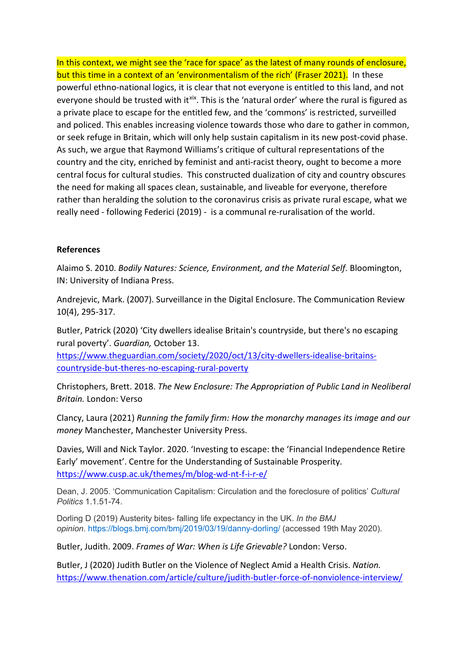In this context, we might see the 'race for space' as the latest of many rounds of enclosure, but this time in a context of an 'environmentalism of the rich' (Fraser 2021). In these powerful ethno-national logics, it is clear that not everyone is entitled to this land, and not everyone should be trusted with it<sup>[xix](#page-15-10)</sup>. This is the 'natural order' where the rural is figured as a private place to escape for the entitled few, and the 'commons' is restricted, surveilled and policed. This enables increasing violence towards those who dare to gather in common, or seek refuge in Britain, which will only help sustain capitalism in its new post-covid phase. As such, we argue that Raymond Williams's critique of cultural representations of the country and the city, enriched by feminist and anti-racist theory, ought to become a more central focus for cultural studies. This constructed dualization of city and country obscures the need for making all spaces clean, sustainable, and liveable for everyone, therefore rather than heralding the solution to the coronavirus crisis as private rural escape, what we really need - following Federici (2019) - is a communal re-ruralisation of the world.

# **References**

Alaimo S. 2010. *Bodily Natures: Science, Environment, and the Material Self*. Bloomington, IN: University of Indiana Press.

Andrejevic, Mark. (2007). Surveillance in the Digital Enclosure. The Communication Review 10(4), 295-317.

Butler, Patrick (2020) 'City dwellers idealise Britain's countryside, but there's no escaping rural poverty'. *Guardian,* October 13.

[https://www.theguardian.com/society/2020/oct/13/city-dwellers-idealise-britains](https://www.theguardian.com/society/2020/oct/13/city-dwellers-idealise-britains-countryside-but-theres-no-escaping-rural-poverty)[countryside-but-theres-no-escaping-rural-poverty](https://www.theguardian.com/society/2020/oct/13/city-dwellers-idealise-britains-countryside-but-theres-no-escaping-rural-poverty)

Christophers, Brett. 2018. *The New Enclosure: The Appropriation of Public Land in Neoliberal Britain.* London: Verso

Clancy, Laura (2021) *Running the family firm: How the monarchy manages its image and our money* Manchester, Manchester University Press.

Davies, Will and Nick Taylor. 2020. 'Investing to escape: the 'Financial Independence Retire Early' movement'. Centre for the Understanding of Sustainable Prosperity. <https://www.cusp.ac.uk/themes/m/blog-wd-nt-f-i-r-e/>

Dean, J. 2005. 'Communication Capitalism: Circulation and the foreclosure of politics' *Cultural Politics* 1.1.51-74.

Dorling D (2019) Austerity bites- falling life expectancy in the UK. *In the BMJ opinion*. <https://blogs.bmj.com/bmj/2019/03/19/danny-dorling/> (accessed 19th May 2020).

Butler, Judith. 2009. *Frames of War: When is Life Grievable?* London: Verso.

Butler, J (2020) Judith Butler on the Violence of Neglect Amid a Health Crisis. *Nation.*  <https://www.thenation.com/article/culture/judith-butler-force-of-nonviolence-interview/>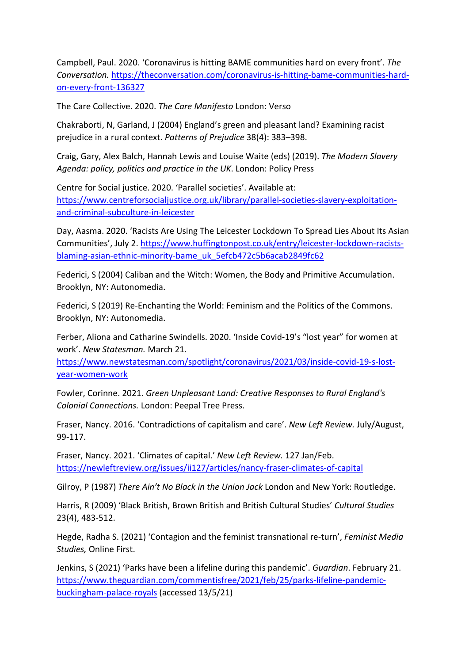Campbell, Paul. 2020. 'Coronavirus is hitting BAME communities hard on every front'. *The Conversation.* [https://theconversation.com/coronavirus-is-hitting-bame-communities-hard](https://theconversation.com/coronavirus-is-hitting-bame-communities-hard-on-every-front-136327)[on-every-front-136327](https://theconversation.com/coronavirus-is-hitting-bame-communities-hard-on-every-front-136327)

The Care Collective. 2020. *The Care Manifesto* London: Verso

Chakraborti, N, Garland, J (2004) England's green and pleasant land? Examining racist prejudice in a rural context. *Patterns of Prejudice* 38(4): 383–398.

Craig, Gary, Alex Balch, Hannah Lewis and Louise Waite (eds) (2019). *The Modern Slavery Agenda: policy, politics and practice in the UK*. London: Policy Press

Centre for Social justice. 2020. 'Parallel societies'. Available at: [https://www.centreforsocialjustice.org.uk/library/parallel-societies-slavery-exploitation](https://www.centreforsocialjustice.org.uk/library/parallel-societies-slavery-exploitation-and-criminal-subculture-in-leicester)[and-criminal-subculture-in-leicester](https://www.centreforsocialjustice.org.uk/library/parallel-societies-slavery-exploitation-and-criminal-subculture-in-leicester) 

Day, Aasma. 2020. 'Racists Are Using The Leicester Lockdown To Spread Lies About Its Asian Communities', July 2. [https://www.huffingtonpost.co.uk/entry/leicester-lockdown-racists](https://www.huffingtonpost.co.uk/entry/leicester-lockdown-racists-blaming-asian-ethnic-minority-bame_uk_5efcb472c5b6acab2849fc62)[blaming-asian-ethnic-minority-bame\\_uk\\_5efcb472c5b6acab2849fc62](https://www.huffingtonpost.co.uk/entry/leicester-lockdown-racists-blaming-asian-ethnic-minority-bame_uk_5efcb472c5b6acab2849fc62)

Federici, S (2004) Caliban and the Witch: Women, the Body and Primitive Accumulation. Brooklyn, NY: Autonomedia.

Federici, S (2019) Re-Enchanting the World: Feminism and the Politics of the Commons. Brooklyn, NY: Autonomedia.

Ferber, Aliona and Catharine Swindells. 2020. 'Inside Covid-19's "lost year" for women at work'. *New Statesman.* March 21.

[https://www.newstatesman.com/spotlight/coronavirus/2021/03/inside-covid-19-s-lost](https://www.newstatesman.com/spotlight/coronavirus/2021/03/inside-covid-19-s-lost-year-women-work)[year-women-work](https://www.newstatesman.com/spotlight/coronavirus/2021/03/inside-covid-19-s-lost-year-women-work)

Fowler, Corinne. 2021. *Green Unpleasant Land: Creative Responses to Rural England's Colonial Connections.* London: Peepal Tree Press.

Fraser, Nancy. 2016. 'Contradictions of capitalism and care'. *New Left Review.* July/August, 99-117.

Fraser, Nancy. 2021. 'Climates of capital.' *New Left Review.* 127 Jan/Feb. <https://newleftreview.org/issues/ii127/articles/nancy-fraser-climates-of-capital>

Gilroy, P (1987) *There Ain't No Black in the Union Jack* London and New York: Routledge.

Harris, R (2009) 'Black British, Brown British and British Cultural Studies' *Cultural Studies* 23(4), 483-512.

Hegde, Radha S. (2021) 'Contagion and the feminist transnational re-turn', *Feminist Media Studies,* Online First.

Jenkins, S (2021) 'Parks have been a lifeline during this pandemic'. *Guardian*. February 21. [https://www.theguardian.com/commentisfree/2021/feb/25/parks-lifeline-pandemic](https://www.theguardian.com/commentisfree/2021/feb/25/parks-lifeline-pandemic-buckingham-palace-royals)[buckingham-palace-royals](https://www.theguardian.com/commentisfree/2021/feb/25/parks-lifeline-pandemic-buckingham-palace-royals) (accessed 13/5/21)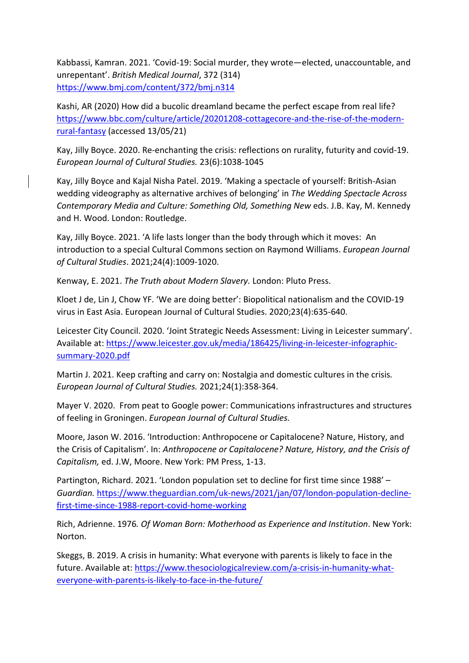Kabbassi, Kamran. 2021. 'Covid-19: Social murder, they wrote—elected, unaccountable, and unrepentant'. *British Medical Journal*, 372 (314) <https://www.bmj.com/content/372/bmj.n314>

Kashi, AR (2020) How did a bucolic dreamland became the perfect escape from real life? [https://www.bbc.com/culture/article/20201208-cottagecore-and-the-rise-of-the-modern](https://www.bbc.com/culture/article/20201208-cottagecore-and-the-rise-of-the-modern-rural-fantasy)[rural-fantasy](https://www.bbc.com/culture/article/20201208-cottagecore-and-the-rise-of-the-modern-rural-fantasy) (accessed 13/05/21)

Kay, Jilly Boyce. 2020. Re-enchanting the crisis: reflections on rurality, futurity and covid-19. *European Journal of Cultural Studies.* 23(6):1038-1045

Kay, Jilly Boyce and Kajal Nisha Patel. 2019. 'Making a spectacle of yourself: British-Asian wedding videography as alternative archives of belonging' in *The Wedding Spectacle Across Contemporary Media and Culture: Something Old, Something New* eds. J.B. Kay, M. Kennedy and H. Wood. London: Routledge.

Kay, Jilly Boyce. 2021. 'A life lasts longer than the body through which it moves: An introduction to a special Cultural Commons section on Raymond Williams. *European Journal of Cultural Studies*. 2021;24(4):1009-1020.

Kenway, E. 2021. *The Truth about Modern Slavery.* London: Pluto Press.

Kloet J de, Lin J, Chow YF. 'We are doing better': Biopolitical nationalism and the COVID-19 virus in East Asia. European Journal of Cultural Studies. 2020;23(4):635-640.

Leicester City Council. 2020. 'Joint Strategic Needs Assessment: Living in Leicester summary'. Available at: [https://www.leicester.gov.uk/media/186425/living-in-leicester-infographic](https://www.leicester.gov.uk/media/186425/living-in-leicester-infographic-summary-2020.pdf)[summary-2020.pdf](https://www.leicester.gov.uk/media/186425/living-in-leicester-infographic-summary-2020.pdf) 

Martin J. 2021. Keep crafting and carry on: Nostalgia and domestic cultures in the crisis*. European Journal of Cultural Studies.* 2021;24(1):358-364.

Mayer V. 2020. From peat to Google power: Communications infrastructures and structures of feeling in Groningen. *European Journal of Cultural Studies.*

Moore, Jason W. 2016. 'Introduction: Anthropocene or Capitalocene? Nature, History, and the Crisis of Capitalism'. In: *Anthropocene or Capitalocene? Nature, History, and the Crisis of Capitalism,* ed. J.W, Moore. New York: PM Press, 1-13.

Partington, Richard. 2021. 'London population set to decline for first time since 1988' – *Guardian.* [https://www.theguardian.com/uk-news/2021/jan/07/london-population-decline](https://www.theguardian.com/uk-news/2021/jan/07/london-population-decline-first-time-since-1988-report-covid-home-working)[first-time-since-1988-report-covid-home-working](https://www.theguardian.com/uk-news/2021/jan/07/london-population-decline-first-time-since-1988-report-covid-home-working) 

Rich, Adrienne. 1976*. Of Woman Born: Motherhood as Experience and Institution*. New York: Norton.

Skeggs, B. 2019. A crisis in humanity: What everyone with parents is likely to face in the future. Available at: [https://www.thesociologicalreview.com/a-crisis-in-humanity-what](https://www.thesociologicalreview.com/a-crisis-in-humanity-what-everyone-with-parents-is-likely-to-face-in-the-future/)[everyone-with-parents-is-likely-to-face-in-the-future/](https://www.thesociologicalreview.com/a-crisis-in-humanity-what-everyone-with-parents-is-likely-to-face-in-the-future/)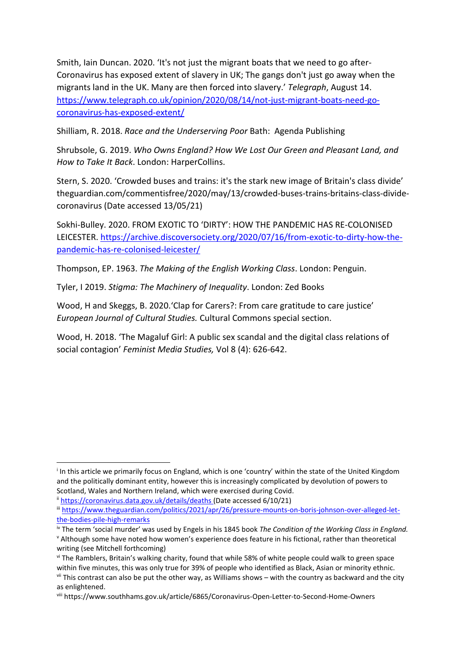Smith, Iain Duncan. 2020. 'It's not just the migrant boats that we need to go after-Coronavirus has exposed extent of slavery in UK; The gangs don't just go away when the migrants land in the UK. Many are then forced into slavery.' *Telegraph*, August 14. [https://www.telegraph.co.uk/opinion/2020/08/14/not-just-migrant-boats-need-go](https://www.telegraph.co.uk/opinion/2020/08/14/not-just-migrant-boats-need-go-coronavirus-has-exposed-extent/)[coronavirus-has-exposed-extent/](https://www.telegraph.co.uk/opinion/2020/08/14/not-just-migrant-boats-need-go-coronavirus-has-exposed-extent/) 

Shilliam, R. 2018. *Race and the Underserving Poor* Bath: Agenda Publishing

Shrubsole, G. 2019. *Who Owns England? How We Lost Our Green and Pleasant Land, and How to Take It Back*. London: HarperCollins.

Stern, S. 2020. 'Crowded buses and trains: it's the stark new image of Britain's class divide' theguardian.com/commentisfree/2020/may/13/crowded-buses-trains-britains-class-dividecoronavirus (Date accessed 13/05/21)

Sokhi-Bulley. 2020. FROM EXOTIC TO 'DIRTY': HOW THE PANDEMIC HAS RE-COLONISED LEICESTER. [https://archive.discoversociety.org/2020/07/16/from-exotic-to-dirty-how-the](https://archive.discoversociety.org/2020/07/16/from-exotic-to-dirty-how-the-pandemic-has-re-colonised-leicester/)[pandemic-has-re-colonised-leicester/](https://archive.discoversociety.org/2020/07/16/from-exotic-to-dirty-how-the-pandemic-has-re-colonised-leicester/)

Thompson, EP. 1963. *The Making of the English Working Class*. London: Penguin.

Tyler, I 2019. *Stigma: The Machinery of Inequality*. London: Zed Books

Wood, H and Skeggs, B. 2020.'Clap for Carers?: From care gratitude to care justice' *European Journal of Cultural Studies.* Cultural Commons special section.

Wood, H. 2018. 'The Magaluf Girl: A public sex scandal and the digital class relations of social contagion' *Feminist Media Studies,* Vol 8 (4): 626-642.

 $\overline{a}$ 

<span id="page-14-0"></span><sup>i</sup> In this article we primarily focus on England, which is one 'country' within the state of the United Kingdom and the politically dominant entity, however this is increasingly complicated by devolution of powers to

Scotland, Wales and Northern Ireland, which were exercised during Covid. ii <https://coronavirus.data.gov.uk/details/deaths> (Date accessed 6/10/21)

<span id="page-14-2"></span><span id="page-14-1"></span>iii [https://www.theguardian.com/politics/2021/apr/26/pressure-mounts-on-boris-johnson-over-alleged-let](https://www.theguardian.com/politics/2021/apr/26/pressure-mounts-on-boris-johnson-over-alleged-let-the-bodies-pile-high-remarks)[the-bodies-pile-high-remarks](https://www.theguardian.com/politics/2021/apr/26/pressure-mounts-on-boris-johnson-over-alleged-let-the-bodies-pile-high-remarks)

<span id="page-14-4"></span><span id="page-14-3"></span>iv The term 'social murder' was used by Engels in his 1845 book *The Condition of the Working Class in England.* <sup>v</sup> Although some have noted how women's experience does feature in his fictional, rather than theoretical writing (see Mitchell forthcoming)

<span id="page-14-5"></span>vi The Ramblers, Britain's walking charity, found that while 58% of white people could walk to green space within five minutes, this was only true for 39% of people who identified as Black, Asian or minority ethnic. vii This contrast can also be put the other way, as Williams shows – with the country as backward and the city

<span id="page-14-7"></span><span id="page-14-6"></span>as enlightened.<br>viii https://www.southhams.gov.uk/article/6865/Coronavirus-Open-Letter-to-Second-Home-Owners